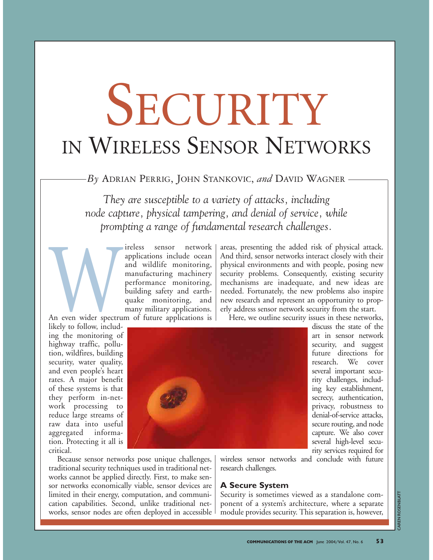# SECURITY IN WIRELESS SENSOR NETWORKS

*By* ADRIAN PERRIG, JOHN STANKOVIC, *and* DAVID WAGNER

*They are susceptible to a variety of attacks, including node capture, physical tampering, and denial of service, while prompting a range of fundamental research challenges.*

Find Supplications include ocean<br>and wildlife monitoring,<br>manufacturing machinery<br>performance monitoring,<br>building safety and earth-<br>quake monitoring, and<br>many military applications.<br>likely to follow, includapplications include ocean and wildlife monitoring, manufacturing machinery performance monitoring, building safety and earthquake monitoring, and many military applications.

An even wider spectrum of future applications is

areas, presenting the added risk of physical attack. And third, sensor networks interact closely with their physical environments and with people, posing new security problems. Consequently, existing security mechanisms are inadequate, and new ideas are needed. Fortunately, the new problems also inspire new research and represent an opportunity to properly address sensor network security from the start.

Here, we outline security issues in these networks,

discuss the state of the art in sensor network security, and suggest future directions for research. We cover several important security challenges, including key establishment, secrecy, authentication, privacy, robustness to denial-of-service attacks, secure routing, and node capture. We also cover several high-level security services required for

likely to follow, including the monitoring of highway traffic, pollution, wildfires, building security, water quality, and even people's heart rates. A major benefit of these systems is that they perform in-network processing to reduce large streams of raw data into useful aggregated information. Protecting it all is critical.



Because sensor networks pose unique challenges, traditional security techniques used in traditional networks cannot be applied directly. First, to make sensor networks economically viable, sensor devices are limited in their energy, computation, and communication capabilities. Second, unlike traditional networks, sensor nodes are often deployed in accessible wireless sensor networks and conclude with future research challenges.

# **A Secure System**

Security is sometimes viewed as a standalone component of a system's architecture, where a separate module provides security. This separation is, however,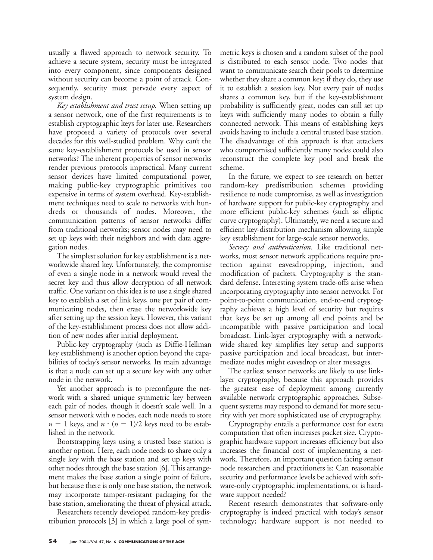usually a flawed approach to network security. To achieve a secure system, security must be integrated into every component, since components designed without security can become a point of attack. Consequently, security must pervade every aspect of system design.

*Key establishment and trust setup.* When setting up a sensor network, one of the first requirements is to establish cryptographic keys for later use. Researchers have proposed a variety of protocols over several decades for this well-studied problem. Why can't the same key-establishment protocols be used in sensor networks? The inherent properties of sensor networks render previous protocols impractical. Many current sensor devices have limited computational power, making public-key cryptographic primitives too expensive in terms of system overhead. Key-establishment techniques need to scale to networks with hundreds or thousands of nodes. Moreover, the communication patterns of sensor networks differ from traditional networks; sensor nodes may need to set up keys with their neighbors and with data aggregation nodes.

The simplest solution for key establishment is a networkwide shared key. Unfortunately, the compromise of even a single node in a network would reveal the secret key and thus allow decryption of all network traffic. One variant on this idea is to use a single shared key to establish a set of link keys, one per pair of communicating nodes, then erase the networkwide key after setting up the session keys. However, this variant of the key-establishment process does not allow addition of new nodes after initial deployment.

Public-key cryptography (such as Diffie-Hellman key establishment) is another option beyond the capabilities of today's sensor networks. Its main advantage is that a node can set up a secure key with any other node in the network.

Yet another approach is to preconfigure the network with a shared unique symmetric key between each pair of nodes, though it doesn't scale well. In a sensor network with *n* nodes, each node needs to store  $n-1$  keys, and  $n \cdot (n-1)/2$  keys need to be established in the network.

Bootstrapping keys using a trusted base station is another option. Here, each node needs to share only a single key with the base station and set up keys with other nodes through the base station [6]. This arrangement makes the base station a single point of failure, but because there is only one base station, the network may incorporate tamper-resistant packaging for the base station, ameliorating the threat of physical attack.

Researchers recently developed random-key predistribution protocols [3] in which a large pool of sym-

metric keys is chosen and a random subset of the pool is distributed to each sensor node. Two nodes that want to communicate search their pools to determine whether they share a common key; if they do, they use it to establish a session key. Not every pair of nodes shares a common key, but if the key-establishment probability is sufficiently great, nodes can still set up keys with sufficiently many nodes to obtain a fully connected network. This means of establishing keys avoids having to include a central trusted base station. The disadvantage of this approach is that attackers who compromised sufficiently many nodes could also reconstruct the complete key pool and break the scheme.

In the future, we expect to see research on better random-key predistribution schemes providing resilience to node compromise, as well as investigation of hardware support for public-key cryptography and more efficient public-key schemes (such as elliptic curve cryptography). Ultimately, we need a secure and efficient key-distribution mechanism allowing simple key establishment for large-scale sensor networks.

*Secrecy and authentication.* Like traditional networks, most sensor network applications require protection against eavesdropping, injection, and modification of packets. Cryptography is the standard defense. Interesting system trade-offs arise when incorporating cryptography into sensor networks. For point-to-point communication, end-to-end cryptography achieves a high level of security but requires that keys be set up among all end points and be incompatible with passive participation and local broadcast. Link-layer cryptography with a networkwide shared key simplifies key setup and supports passive participation and local broadcast, but intermediate nodes might eavesdrop or alter messages.

The earliest sensor networks are likely to use linklayer cryptography, because this approach provides the greatest ease of deployment among currently available network cryptographic approaches. Subsequent systems may respond to demand for more security with yet more sophisticated use of cryptography.

Cryptography entails a performance cost for extra computation that often increases packet size. Cryptographic hardware support increases efficiency but also increases the financial cost of implementing a network. Therefore, an important question facing sensor node researchers and practitioners is: Can reasonable security and performance levels be achieved with software-only cryptographic implementations, or is hardware support needed?

Recent research demonstrates that software-only cryptography is indeed practical with today's sensor technology; hardware support is not needed to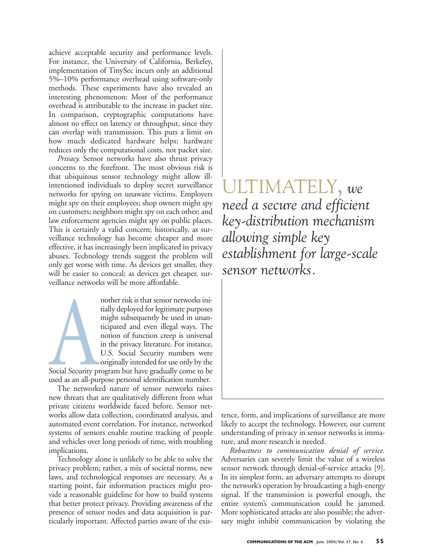achieve acceptable security and performance levels. For instance, the University of California, Berkeley, implementation of TinySec incurs only an additional 5%–10% performance overhead using software-only methods. These experiments have also revealed an interesting phenomenon: Most of the performance overhead is attributable to the increase in packet size. In comparison, cryptographic computations have almost no effect on latency or throughput, since they can overlap with transmission. This puts a limit on how much dedicated hardware helps; hardware reduces only the computational costs, not packet size.

*Privacy.* Sensor networks have also thrust privacy concerns to the forefront. The most obvious risk is that ubiquitous sensor technology might allow illintentioned individuals to deploy secret surveillance networks for spying on unaware victims. Employers might spy on their employees; shop owners might spy on customers; neighbors might spy on each other; and law enforcement agencies might spy on public places. This is certainly a valid concern; historically, as surveillance technology has become cheaper and more effective, it has increasingly been implicated in privacy abuses. Technology trends suggest the problem will only get worse with time. As devices get smaller, they will be easier to conceal; as devices get cheaper, surveillance networks will be more affordable.

nother risk is that sensor networks ini-<br>tially deployed for legitimate purposes<br>might subsequently be used in unan-<br>ticipated and even illegal ways. The<br>notion of function creep is universal<br>in the privacy literature. For tially deployed for legitimate purposes might subsequently be used in unanticipated and even illegal ways. The notion of function creep is universal in the privacy literature. For instance, U.S. Social Security numbers were originally intended for use only by the

Social Security program but have gradually come to be used as an all-purpose personal identification number.

The networked nature of sensor networks raises new threats that are qualitatively different from what private citizens worldwide faced before. Sensor networks allow data collection, coordinated analysis, and automated event correlation. For instance, networked systems of sensors enable routine tracking of people and vehicles over long periods of time, with troubling implications.

Technology alone is unlikely to be able to solve the privacy problem; rather, a mix of societal norms, new laws, and technological responses are necessary. As a starting point, fair information practices might provide a reasonable guideline for how to build systems that better protect privacy. Providing awareness of the presence of sensor nodes and data acquisition is particularly important. Affected parties aware of the exis-

ULTIMATELY, *we need a secure and efficient key-distribution mechanism allowing simple key establishment for large-scale sensor networks.* 

tence, form, and implications of surveillance are more likely to accept the technology. However, our current understanding of privacy in sensor networks is immature, and more research is needed.

*Robustness to communication denial of service.* Adversaries can severely limit the value of a wireless sensor network through denial-of-service attacks [9]. In its simplest form, an adversary attempts to disrupt the network's operation by broadcasting a high-energy signal. If the transmission is powerful enough, the entire system's communication could be jammed. More sophisticated attacks are also possible; the adversary might inhibit communication by violating the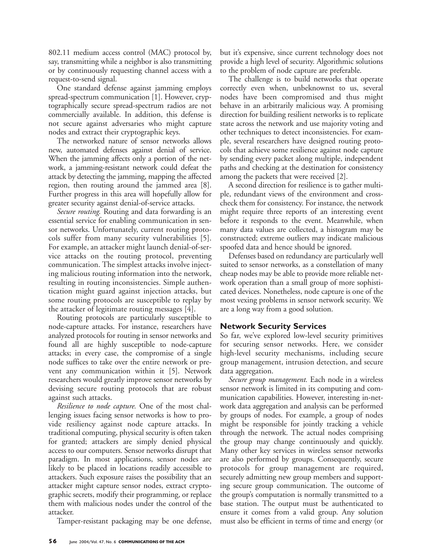802.11 medium access control (MAC) protocol by, say, transmitting while a neighbor is also transmitting or by continuously requesting channel access with a request-to-send signal.

One standard defense against jamming employs spread-spectrum communication [1]. However, cryptographically secure spread-spectrum radios are not commercially available. In addition, this defense is not secure against adversaries who might capture nodes and extract their cryptographic keys.

The networked nature of sensor networks allows new, automated defenses against denial of service. When the jamming affects only a portion of the network, a jamming-resistant network could defeat the attack by detecting the jamming, mapping the affected region, then routing around the jammed area [8]. Further progress in this area will hopefully allow for greater security against denial-of-service attacks.

*Secure routing.* Routing and data forwarding is an essential service for enabling communication in sensor networks. Unfortunately, current routing protocols suffer from many security vulnerabilities [5]. For example, an attacker might launch denial-of-service attacks on the routing protocol, preventing communication. The simplest attacks involve injecting malicious routing information into the network, resulting in routing inconsistencies. Simple authentication might guard against injection attacks, but some routing protocols are susceptible to replay by the attacker of legitimate routing messages [4].

Routing protocols are particularly susceptible to node-capture attacks. For instance, researchers have analyzed protocols for routing in sensor networks and found all are highly susceptible to node-capture attacks; in every case, the compromise of a single node suffices to take over the entire network or prevent any communication within it [5]. Network researchers would greatly improve sensor networks by devising secure routing protocols that are robust against such attacks.

*Resilience to node capture.* One of the most challenging issues facing sensor networks is how to provide resiliency against node capture attacks. In traditional computing, physical security is often taken for granted; attackers are simply denied physical access to our computers. Sensor networks disrupt that paradigm. In most applications, sensor nodes are likely to be placed in locations readily accessible to attackers. Such exposure raises the possibility that an attacker might capture sensor nodes, extract cryptographic secrets, modify their programming, or replace them with malicious nodes under the control of the attacker.

Tamper-resistant packaging may be one defense,

but it's expensive, since current technology does not provide a high level of security. Algorithmic solutions to the problem of node capture are preferable.

The challenge is to build networks that operate correctly even when, unbeknownst to us, several nodes have been compromised and thus might behave in an arbitrarily malicious way. A promising direction for building resilient networks is to replicate state across the network and use majority voting and other techniques to detect inconsistencies. For example, several researchers have designed routing protocols that achieve some resilience against node capture by sending every packet along multiple, independent paths and checking at the destination for consistency among the packets that were received [2].

A second direction for resilience is to gather multiple, redundant views of the environment and crosscheck them for consistency. For instance, the network might require three reports of an interesting event before it responds to the event. Meanwhile, when many data values are collected, a histogram may be constructed; extreme outliers may indicate malicious spoofed data and hence should be ignored.

Defenses based on redundancy are particularly well suited to sensor networks, as a constellation of many cheap nodes may be able to provide more reliable network operation than a small group of more sophisticated devices. Nonetheless, node capture is one of the most vexing problems in sensor network security. We are a long way from a good solution.

# **Network Security Services**

So far, we've explored low-level security primitives for securing sensor networks. Here, we consider high-level security mechanisms, including secure group management, intrusion detection, and secure data aggregation.

*Secure group management.* Each node in a wireless sensor network is limited in its computing and communication capabilities. However, interesting in-network data aggregation and analysis can be performed by groups of nodes. For example, a group of nodes might be responsible for jointly tracking a vehicle through the network. The actual nodes comprising the group may change continuously and quickly. Many other key services in wireless sensor networks are also performed by groups. Consequently, secure protocols for group management are required, securely admitting new group members and supporting secure group communication. The outcome of the group's computation is normally transmitted to a base station. The output must be authenticated to ensure it comes from a valid group. Any solution must also be efficient in terms of time and energy (or